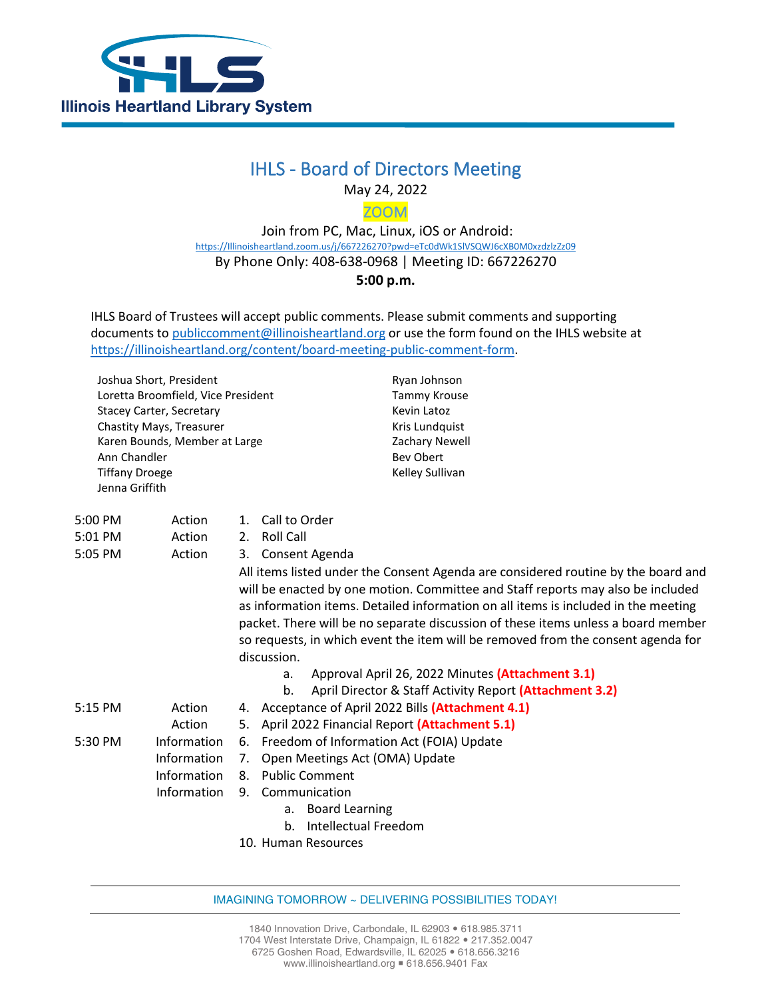

## IHLS - Board of Directors Meeting

May 24, 2022

ZOOM

 Join from PC, Mac, Linux, iOS or Android: [https://Illinoisheartland.zoom.us/j/667226270?pwd=eTc0dWk1SlVSQWJ6cXB0M0xzdzlzZz09](https://illinoisheartland.zoom.us/j/667226270?pwd=eTc0dWk1SlVSQWJ6cXB0M0xzdzlzZz09) By Phone Only: 408-638-0968 | Meeting ID: 667226270 **5:00 p.m.**

IHLS Board of Trustees will accept public comments. Please submit comments and supporting documents t[o publiccomment@illinoisheartland.org](mailto:publiccomment@illinoisheartland.org) or use the form found on the IHLS website at [https://illinoisheartland.org/content/board-meeting-public-comment-form.](https://illinoisheartland.org/content/board-meeting-public-comment-form)

Joshua Short, President Loretta Broomfield, Vice President Stacey Carter, Secretary Chastity Mays, Treasurer Karen Bounds, Member at Large Ann Chandler Tiffany Droege Jenna Griffith

Ryan Johnson Tammy Krouse Kevin Latoz Kris Lundquist Zachary Newell Bev Obert Kelley Sullivan

| 5:00 PM | Action      | Call to Order<br>$\mathbf{1}$ .                                                                                                                                                                                                                                                                                                                                                                                                                    |
|---------|-------------|----------------------------------------------------------------------------------------------------------------------------------------------------------------------------------------------------------------------------------------------------------------------------------------------------------------------------------------------------------------------------------------------------------------------------------------------------|
| 5:01 PM | Action      | Roll Call<br>2.                                                                                                                                                                                                                                                                                                                                                                                                                                    |
| 5:05 PM | Action      | Consent Agenda<br>3.                                                                                                                                                                                                                                                                                                                                                                                                                               |
|         |             | All items listed under the Consent Agenda are considered routine by the board and<br>will be enacted by one motion. Committee and Staff reports may also be included<br>as information items. Detailed information on all items is included in the meeting<br>packet. There will be no separate discussion of these items unless a board member<br>so requests, in which event the item will be removed from the consent agenda for<br>discussion. |
|         |             | Approval April 26, 2022 Minutes (Attachment 3.1)<br>a.                                                                                                                                                                                                                                                                                                                                                                                             |
|         |             | April Director & Staff Activity Report (Attachment 3.2)<br>b.                                                                                                                                                                                                                                                                                                                                                                                      |
| 5:15 PM | Action      | 4. Acceptance of April 2022 Bills (Attachment 4.1)                                                                                                                                                                                                                                                                                                                                                                                                 |
|         | Action      | 5. April 2022 Financial Report (Attachment 5.1)                                                                                                                                                                                                                                                                                                                                                                                                    |
| 5:30 PM | Information | Freedom of Information Act (FOIA) Update<br>6.                                                                                                                                                                                                                                                                                                                                                                                                     |
|         | Information | Open Meetings Act (OMA) Update<br>7.                                                                                                                                                                                                                                                                                                                                                                                                               |
|         | Information | <b>Public Comment</b><br>8.                                                                                                                                                                                                                                                                                                                                                                                                                        |
|         | Information | 9. Communication                                                                                                                                                                                                                                                                                                                                                                                                                                   |
|         |             | a. Board Learning                                                                                                                                                                                                                                                                                                                                                                                                                                  |
|         |             | Intellectual Freedom<br>b.                                                                                                                                                                                                                                                                                                                                                                                                                         |
|         |             | 10. Human Resources                                                                                                                                                                                                                                                                                                                                                                                                                                |

IMAGINING TOMORROW ~ DELIVERING POSSIBILITIES TODAY!